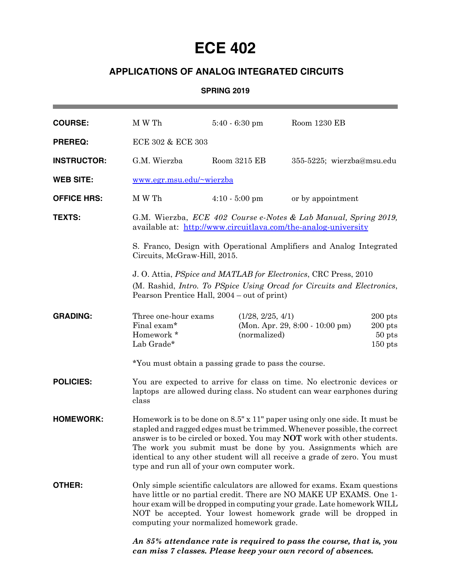# **ECE 402**

## **APPLICATIONS OF ANALOG INTEGRATED CIRCUITS**

#### **SPRING 2019**

| <b>COURSE:</b>     | M W Th                                                                                                                                                                                                                                                                                                                                                                                                                                 | $5:40 - 6:30$ pm                                     | Room 1230 EB                                                                                                                        |  |
|--------------------|----------------------------------------------------------------------------------------------------------------------------------------------------------------------------------------------------------------------------------------------------------------------------------------------------------------------------------------------------------------------------------------------------------------------------------------|------------------------------------------------------|-------------------------------------------------------------------------------------------------------------------------------------|--|
| <b>PREREQ:</b>     | ECE 302 & ECE 303                                                                                                                                                                                                                                                                                                                                                                                                                      |                                                      |                                                                                                                                     |  |
| <b>INSTRUCTOR:</b> | G.M. Wierzba                                                                                                                                                                                                                                                                                                                                                                                                                           | Room 3215 EB                                         | 355-5225; wierzba@msu.edu                                                                                                           |  |
| <b>WEB SITE:</b>   | www.egr.msu.edu/~wierzba                                                                                                                                                                                                                                                                                                                                                                                                               |                                                      |                                                                                                                                     |  |
| <b>OFFICE HRS:</b> | M W Th                                                                                                                                                                                                                                                                                                                                                                                                                                 | $4:10 - 5:00$ pm                                     | or by appointment                                                                                                                   |  |
| <b>TEXTS:</b>      | G.M. Wierzba, ECE 402 Course e-Notes & Lab Manual, Spring 2019,<br>available at: http://www.circuitlava.com/the-analog-university                                                                                                                                                                                                                                                                                                      |                                                      |                                                                                                                                     |  |
|                    | S. Franco, Design with Operational Amplifiers and Analog Integrated<br>Circuits, McGraw-Hill, 2015.                                                                                                                                                                                                                                                                                                                                    |                                                      |                                                                                                                                     |  |
|                    | J. O. Attia, <i>PSpice and MATLAB</i> for <i>Electronics</i> , CRC Press, 2010<br>(M. Rashid, <i>Intro. To PSpice Using Orcad for Circuits and Electronics</i> ,<br>Pearson Prentice Hall, 2004 – out of print)                                                                                                                                                                                                                        |                                                      |                                                                                                                                     |  |
| <b>GRADING:</b>    | Three one-hour exams<br>Final exam*<br>Homework *<br>Lab Grade*                                                                                                                                                                                                                                                                                                                                                                        | (1/28, 2/25, 4/1)<br>(normalized)                    | $200$ pts<br>(Mon. Apr. 29, 8:00 - 10:00 pm)<br>$200$ pts<br>$50$ pts<br>$150$ pts                                                  |  |
|                    |                                                                                                                                                                                                                                                                                                                                                                                                                                        | *You must obtain a passing grade to pass the course. |                                                                                                                                     |  |
| <b>POLICIES:</b>   | You are expected to arrive for class on time. No electronic devices or<br>laptops are allowed during class. No student can wear earphones during<br>class                                                                                                                                                                                                                                                                              |                                                      |                                                                                                                                     |  |
| <b>HOMEWORK:</b>   | Homework is to be done on 8.5" x 11" paper using only one side. It must be<br>stapled and ragged edges must be trimmed. Whenever possible, the correct<br>answer is to be circled or boxed. You may <b>NOT</b> work with other students.<br>The work you submit must be done by you. Assignments which are<br>identical to any other student will all receive a grade of zero. You must<br>type and run all of your own computer work. |                                                      |                                                                                                                                     |  |
| OTHER:             | Only simple scientific calculators are allowed for exams. Exam questions<br>have little or no partial credit. There are NO MAKE UP EXAMS. One 1-<br>hour exam will be dropped in computing your grade. Late homework WILL<br>NOT be accepted. Your lowest homework grade will be dropped in<br>computing your normalized homework grade.                                                                                               |                                                      |                                                                                                                                     |  |
|                    |                                                                                                                                                                                                                                                                                                                                                                                                                                        |                                                      | An 85% attendance rate is required to pass the course, that is, you<br>can miss 7 classes. Please keep your own record of absences. |  |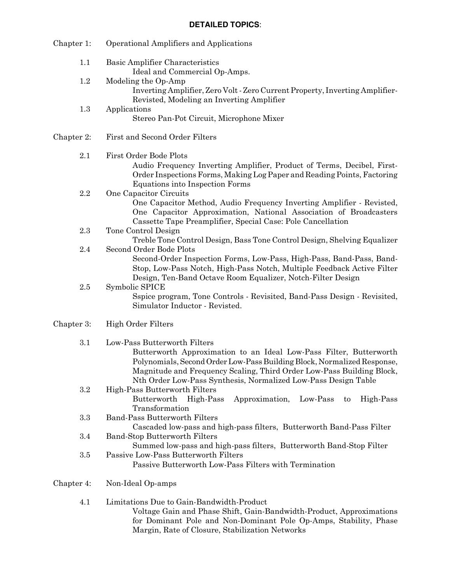#### **DETAILED TOPICS**:

| Chapter 1: | <b>Operational Amplifiers and Applications</b>                                                                                                                                                                                                                                                                           |
|------------|--------------------------------------------------------------------------------------------------------------------------------------------------------------------------------------------------------------------------------------------------------------------------------------------------------------------------|
| 1.1        | Basic Amplifier Characteristics<br>Ideal and Commercial Op-Amps.                                                                                                                                                                                                                                                         |
| 1.2        | Modeling the Op-Amp<br>Inverting Amplifier, Zero Volt - Zero Current Property, Inverting Amplifier-<br>Revisted, Modeling an Inverting Amplifier                                                                                                                                                                         |
| 1.3        | Applications<br>Stereo Pan-Pot Circuit, Microphone Mixer                                                                                                                                                                                                                                                                 |
| Chapter 2: | First and Second Order Filters                                                                                                                                                                                                                                                                                           |
| 2.1        | First Order Bode Plots<br>Audio Frequency Inverting Amplifier, Product of Terms, Decibel, First-<br>Order Inspections Forms, Making Log Paper and Reading Points, Factoring<br>Equations into Inspection Forms                                                                                                           |
| 2.2        | One Capacitor Circuits<br>One Capacitor Method, Audio Frequency Inverting Amplifier - Revisted,<br>One Capacitor Approximation, National Association of Broadcasters<br>Cassette Tape Preamplifier, Special Case: Pole Cancellation                                                                                      |
| 2.3        | Tone Control Design<br>Treble Tone Control Design, Bass Tone Control Design, Shelving Equalizer                                                                                                                                                                                                                          |
| 2.4        | Second Order Bode Plots<br>Second-Order Inspection Forms, Low-Pass, High-Pass, Band-Pass, Band-<br>Stop, Low-Pass Notch, High-Pass Notch, Multiple Feedback Active Filter                                                                                                                                                |
| 2.5        | Design, Ten-Band Octave Room Equalizer, Notch-Filter Design<br>Symbolic SPICE<br>Sspice program, Tone Controls - Revisited, Band-Pass Design - Revisited,<br>Simulator Inductor - Revisted.                                                                                                                              |
| Chapter 3: | <b>High Order Filters</b>                                                                                                                                                                                                                                                                                                |
| 3.1        | Low-Pass Butterworth Filters<br>Butterworth Approximation to an Ideal Low-Pass Filter, Butterworth<br>Polynomials, Second Order Low-Pass Building Block, Normalized Response,<br>Magnitude and Frequency Scaling, Third Order Low-Pass Building Block,<br>Nth Order Low-Pass Synthesis, Normalized Low-Pass Design Table |
| $\!.2$     | High-Pass Butterworth Filters<br>Approximation,<br>Butterworth<br>High-Pass<br>Low-Pass<br>High-Pass<br>to<br>Transformation                                                                                                                                                                                             |
| 3.3        | <b>Band-Pass Butterworth Filters</b><br>Cascaded low-pass and high-pass filters, Butterworth Band-Pass Filter                                                                                                                                                                                                            |
| 3.4        | <b>Band-Stop Butterworth Filters</b><br>Summed low-pass and high-pass filters, Butterworth Band-Stop Filter                                                                                                                                                                                                              |
| $3.5\,$    | Passive Low-Pass Butterworth Filters<br>Passive Butterworth Low-Pass Filters with Termination                                                                                                                                                                                                                            |
| Chapter 4: | Non-Ideal Op-amps                                                                                                                                                                                                                                                                                                        |
| 4.1        | Limitations Due to Gain-Bandwidth-Product<br>Voltage Gain and Phase Shift, Gain-Bandwidth-Product, Approximations<br>for Dominant Pole and Non-Dominant Pole Op-Amps, Stability, Phase                                                                                                                                   |

Margin, Rate of Closure, Stabilization Networks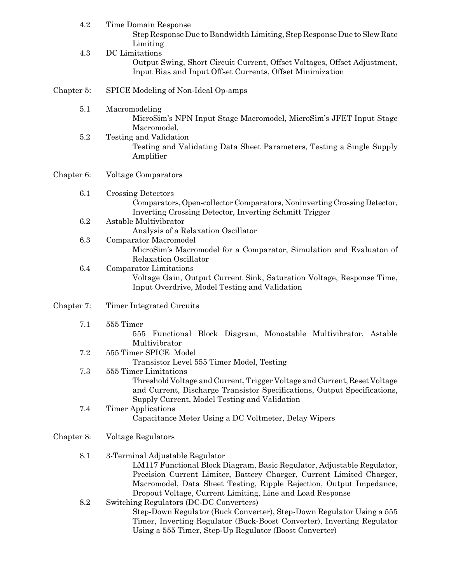| 4.2        | Time Domain Response<br>Step Response Due to Bandwidth Limiting, Step Response Due to Slew Rate                                                                                                                                                                                                                       |
|------------|-----------------------------------------------------------------------------------------------------------------------------------------------------------------------------------------------------------------------------------------------------------------------------------------------------------------------|
| 4.3        | Limiting<br>DC Limitations<br>Output Swing, Short Circuit Current, Offset Voltages, Offset Adjustment,<br>Input Bias and Input Offset Currents, Offset Minimization                                                                                                                                                   |
| Chapter 5: | SPICE Modeling of Non-Ideal Op-amps                                                                                                                                                                                                                                                                                   |
| 5.1        | Macromodeling<br>MicroSim's NPN Input Stage Macromodel, MicroSim's JFET Input Stage<br>Macromodel,                                                                                                                                                                                                                    |
| 5.2        | Testing and Validation<br>Testing and Validating Data Sheet Parameters, Testing a Single Supply<br>Amplifier                                                                                                                                                                                                          |
| Chapter 6: | <b>Voltage Comparators</b>                                                                                                                                                                                                                                                                                            |
| 6.1        | <b>Crossing Detectors</b><br>Comparators, Open-collector Comparators, Noninverting Crossing Detector,<br>Inverting Crossing Detector, Inverting Schmitt Trigger                                                                                                                                                       |
| 6.2        | Astable Multivibrator<br>Analysis of a Relaxation Oscillator                                                                                                                                                                                                                                                          |
| 6.3        | Comparator Macromodel<br>MicroSim's Macromodel for a Comparator, Simulation and Evaluaton of<br>Relaxation Oscillator                                                                                                                                                                                                 |
| 6.4        | Comparator Limitations<br>Voltage Gain, Output Current Sink, Saturation Voltage, Response Time,<br>Input Overdrive, Model Testing and Validation                                                                                                                                                                      |
| Chapter 7: | Timer Integrated Circuits                                                                                                                                                                                                                                                                                             |
| 7.1        | 555 Timer<br>Functional Block Diagram, Monostable Multivibrator, Astable<br>555<br>Multivibrator                                                                                                                                                                                                                      |
| 7.2        | 555 Timer SPICE Model<br>Transistor Level 555 Timer Model, Testing                                                                                                                                                                                                                                                    |
| 7.3        | 555 Timer Limitations<br>Threshold Voltage and Current, Trigger Voltage and Current, Reset Voltage<br>and Current, Discharge Transistor Specifications, Output Specifications,<br>Supply Current, Model Testing and Validation                                                                                        |
| 7.4        | <b>Timer Applications</b><br>Capacitance Meter Using a DC Voltmeter, Delay Wipers                                                                                                                                                                                                                                     |
| Chapter 8: | Voltage Regulators                                                                                                                                                                                                                                                                                                    |
| 8.1        | 3-Terminal Adjustable Regulator<br>LM117 Functional Block Diagram, Basic Regulator, Adjustable Regulator,<br>Precision Current Limiter, Battery Charger, Current Limited Charger,<br>Macromodel, Data Sheet Testing, Ripple Rejection, Output Impedance,<br>Dropout Voltage, Current Limiting, Line and Load Response |
| 8.2        | Switching Regulators (DC-DC Converters)<br>Step-Down Regulator (Buck Converter), Step-Down Regulator Using a 555<br>Timer, Inverting Regulator (Buck-Boost Converter), Inverting Regulator<br>Using a 555 Timer, Step-Up Regulator (Boost Converter)                                                                  |